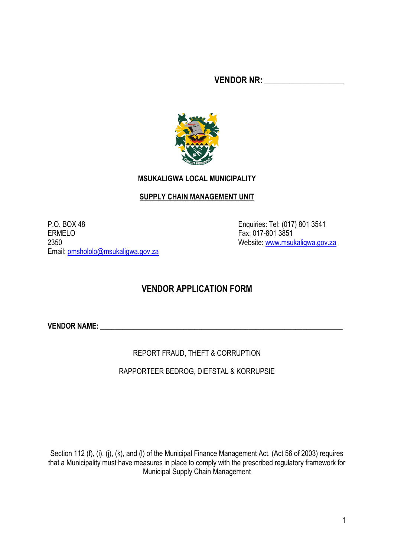**VENDOR NR:** \_\_\_\_\_\_\_\_\_\_\_\_\_\_\_\_\_\_\_\_\_\_



## **MSUKALIGWA LOCAL MUNICIPALITY**

## **SUPPLY CHAIN MANAGEMENT UNIT**

P.O. BOX 48 Enquiries: Tel: (017) 801 3541 ERMELO **Fax: 017-801 3851** 2350 Website: [www.msukaligwa.gov.za](http://www.msukaligwa.gov.za/) Email: [pmshololo@msukaligwa.gov.za](mailto:pmshololo@msukaligwa.gov.za)

# **VENDOR APPLICATION FORM**

**VENDOR NAME:** \_\_\_\_\_\_\_\_\_\_\_\_\_\_\_\_\_\_\_\_\_\_\_\_\_\_\_\_\_\_\_\_\_\_\_\_\_\_\_\_\_\_\_\_\_\_\_\_\_\_\_\_\_\_\_\_\_\_\_\_\_\_\_\_\_\_\_

REPORT FRAUD, THEFT & CORRUPTION

RAPPORTEER BEDROG, DIEFSTAL & KORRUPSIE

Section 112 (f), (i), (i), (k), and (l) of the Municipal Finance Management Act, (Act 56 of 2003) requires that a Municipality must have measures in place to comply with the prescribed regulatory framework for Municipal Supply Chain Management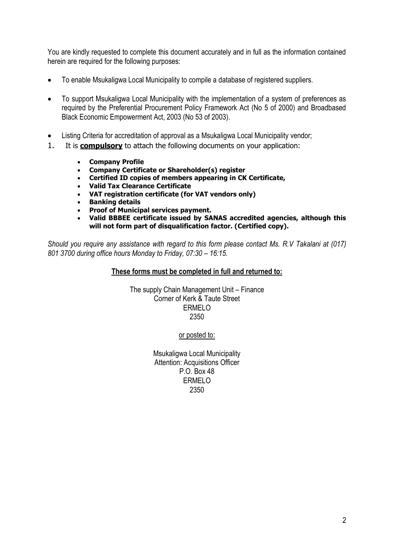You are kindly requested to complete this document accurately and in full as the information contained herein are required for the following purposes:

- To enable Msukaligwa Local Municipality to compile a database of registered suppliers.
- To support Msukaligwa Local Municipality with the implementation of a system of preferences as required by the Preferential Procurement Policy Framework Act (No 5 of 2000) and Broadbased Black Economic Empowerment Act, 2003 (No 53 of 2003).
- Listing Criteria for accreditation of approval as a Msukaligwa Local Municipality vendor;
- 1. It is **compulsory** to attach the following documents on your application:
	- **Company Profile**
	- **Company Certificate or Shareholder(s) register**
	- **Certified ID copies of members appearing in CK Certificate,**
	- **Valid Tax Clearance Certificate**
	- **VAT registration certificate (for VAT vendors only)**
	- **Banking details**
	- **Proof of Municipal services payment.**
	- **Valid BBBEE certificate issued by SANAS accredited agencies, although this will not form part of disqualification factor. (Certified copy).**

*Should you require any assistance with regard to this form please contact Ms. R.V Takalani at (017) 801 3700 during office hours Monday to Friday, 07:30 – 16:15.*

#### **These forms must be completed in full and returned to:**

The supply Chain Management Unit – Finance Corner of Kerk & Taute Street ERMELO 2350

or posted to:

Msukaligwa Local Municipality Attention: Acquisitions Officer P.O. Box 48 ERMELO 2350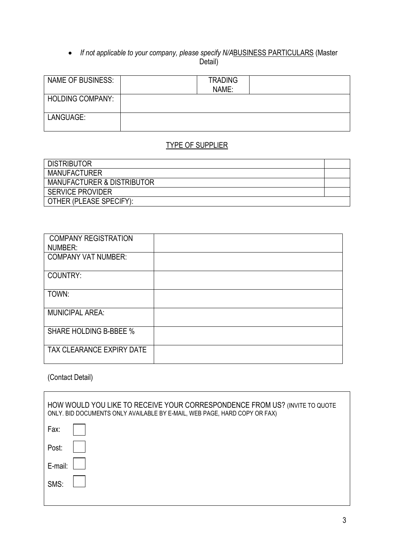#### *If not applicable to your company, please specify N/A*BUSINESS PARTICULARS (Master Detail)

| <b>NAME OF BUSINESS:</b> | <b>TRADING</b><br>NAME: |  |
|--------------------------|-------------------------|--|
| <b>HOLDING COMPANY:</b>  |                         |  |
| LANGUAGE:                |                         |  |

# TYPE OF SUPPLIER

| <b>DISTRIBUTOR</b>                    |  |
|---------------------------------------|--|
| <b>MANUFACTURER</b>                   |  |
| <b>MANUFACTURER &amp; DISTRIBUTOR</b> |  |
| <b>SERVICE PROVIDER</b>               |  |
| OTHER (PLEASE SPECIFY):               |  |

| <b>COMPANY REGISTRATION</b><br>NUMBER: |  |
|----------------------------------------|--|
| <b>COMPANY VAT NUMBER:</b>             |  |
| COUNTRY:                               |  |
| TOWN:                                  |  |
| <b>MUNICIPAL AREA:</b>                 |  |
| <b>SHARE HOLDING B-BBEE %</b>          |  |
| TAX CLEARANCE EXPIRY DATE              |  |

# (Contact Detail)

 $\mathbf{r}$ 

| HOW WOULD YOU LIKE TO RECEIVE YOUR CORRESPONDENCE FROM US? (INVITE TO QUOTE<br>ONLY. BID DOCUMENTS ONLY AVAILABLE BY E-MAIL, WEB PAGE, HARD COPY OR FAX) |  |  |  |  |
|----------------------------------------------------------------------------------------------------------------------------------------------------------|--|--|--|--|
| Fax:                                                                                                                                                     |  |  |  |  |
| Post:                                                                                                                                                    |  |  |  |  |
| E-mail:                                                                                                                                                  |  |  |  |  |
| SMS:                                                                                                                                                     |  |  |  |  |
|                                                                                                                                                          |  |  |  |  |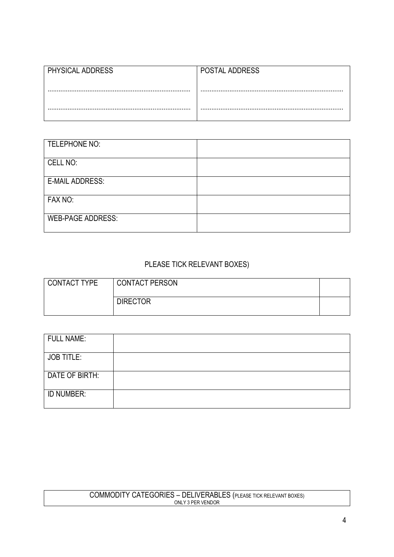| PHYSICAL ADDRESS | POSTAL ADDRESS |
|------------------|----------------|
|                  |                |
|                  |                |
|                  |                |

| TELEPHONE NO:            |  |
|--------------------------|--|
| CELL NO:                 |  |
| <b>E-MAIL ADDRESS:</b>   |  |
| FAX NO:                  |  |
| <b>WEB-PAGE ADDRESS:</b> |  |

# PLEASE TICK RELEVANT BOXES)

| CONTACT TYPE | <b>CONTACT PERSON</b> |  |
|--------------|-----------------------|--|
|              | <b>DIRECTOR</b>       |  |

| <b>FULL NAME:</b> |  |
|-------------------|--|
| <b>JOB TITLE:</b> |  |
| DATE OF BIRTH:    |  |
| ID NUMBER:        |  |

#### COMMODITY CATEGORIES – DELIVERABLES (PLEASE TICK RELEVANT BOXES) ONLY 3 PER VENDOR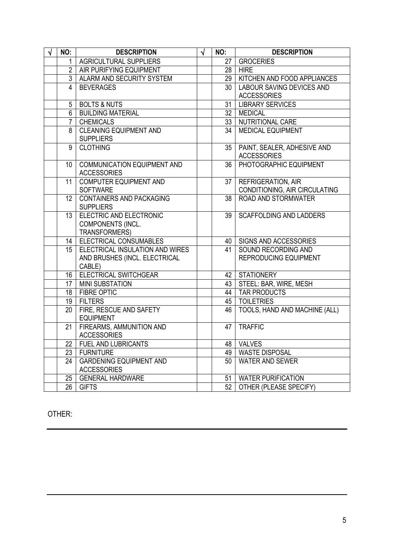| <b>NO:</b>      | <b>DESCRIPTION</b>                                                         | $\sqrt{ }$ | NO:             | <b>DESCRIPTION</b>                                         |
|-----------------|----------------------------------------------------------------------------|------------|-----------------|------------------------------------------------------------|
| $\mathbf{1}$    | AGRICULTURAL SUPPLIERS                                                     |            |                 | 27   GROCERIES                                             |
|                 | 2   AIR PURIFYING EQUIPMENT                                                |            |                 | $28$   HIRE                                                |
|                 | 3   ALARM AND SECURITY SYSTEM                                              |            | 29              | KITCHEN AND FOOD APPLIANCES                                |
| 4               | <b>BEVERAGES</b>                                                           |            | 30 <sup>°</sup> | <b>LABOUR SAVING DEVICES AND</b>                           |
|                 |                                                                            |            |                 | <b>ACCESSORIES</b>                                         |
| 5               | BOLTS & NUTS                                                               |            | 31              | <b>LIBRARY SERVICES</b>                                    |
|                 | 6   BUILDING MATERIAL                                                      |            | 32              | <b>MEDICAL</b>                                             |
| $\overline{7}$  | <b>CHEMICALS</b>                                                           |            | 33              | NUTRITIONAL CARE                                           |
| 8               | <b>CLEANING EQUIPMENT AND</b><br><b>SUPPLIERS</b>                          |            | $\overline{34}$ | <b>MEDICAL EQUIPMENT</b>                                   |
| $\overline{9}$  | <b>CLOTHING</b>                                                            |            | 35              | PAINT, SEALER, ADHESIVE AND<br><b>ACCESSORIES</b>          |
| 10 <sup>°</sup> | <b>COMMUNICATION EQUIPMENT AND</b><br><b>ACCESSORIES</b>                   |            | 36              | PHOTOGRAPHIC EQUIPMENT                                     |
| 11              | <b>COMPUTER EQUIPMENT AND</b><br><b>SOFTWARE</b>                           |            | 37 <sub>1</sub> | <b>REFRIGERATION, AIR</b><br>CONDITIONING, AIR CIRCULATING |
| 12 <sup>°</sup> | CONTAINERS AND PACKAGING<br><b>SUPPLIERS</b>                               |            | 38              | ROAD AND STORMWATER                                        |
| 13              | ELECTRIC AND ELECTRONIC<br>COMPONENTS (INCL.<br>TRANSFORMERS)              |            | 39              | <b>SCAFFOLDING AND LADDERS</b>                             |
|                 | 14   ELECTRICAL CONSUMABLES                                                |            | 40              | SIGNS AND ACCESSORIES                                      |
| 15              | ELECTRICAL INSULATION AND WIRES<br>AND BRUSHES (INCL. ELECTRICAL<br>CABLE) |            | 41              | SOUND RECORDING AND<br>REPRODUCING EQUIPMENT               |
|                 | 16   ELECTRICAL SWITCHGEAR                                                 |            | 42 <sub>1</sub> | <b>STATIONERY</b>                                          |
|                 | 17 MINI SUBSTATION                                                         |            | 43              | STEEL: BAR, WIRE, MESH                                     |
|                 | 18   FIBRE OPTIC                                                           |            | 44              | <b>TAR PRODUCTS</b>                                        |
|                 | 19 FILTERS                                                                 |            | 45              | <b>TOILETRIES</b>                                          |
| 20              | FIRE, RESCUE AND SAFETY<br><b>EQUIPMENT</b>                                |            | 46              | TOOLS, HAND AND MACHINE (ALL)                              |
| 21              | FIREARMS, AMMUNITION AND<br><b>ACCESSORIES</b>                             |            | 47              | <b>TRAFFIC</b>                                             |
|                 | 22   FUEL AND LUBRICANTS                                                   |            |                 | 48 VALVES                                                  |
|                 | 23   FURNITURE                                                             |            | 49              | <b>WASTE DISPOSAL</b>                                      |
| 24              | <b>GARDENING EQUIPMENT AND</b><br><b>ACCESSORIES</b>                       |            | $50-1$          | <b>WATER AND SEWER</b>                                     |
|                 | 25   GENERAL HARDWARE                                                      |            | 51              | <b>WATER PURIFICATION</b>                                  |
|                 | 26 GIFTS                                                                   |            | 52              | OTHER (PLEASE SPECIFY)                                     |

# OTHER: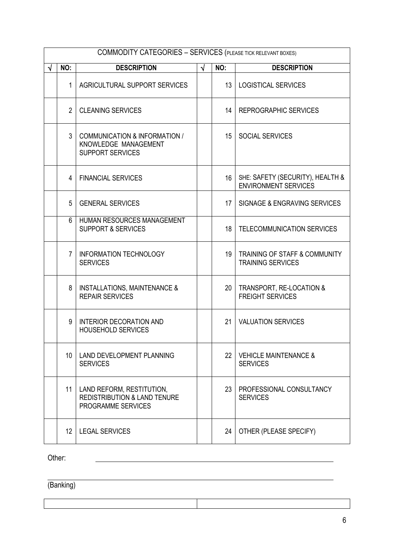|                           | <b>COMMODITY CATEGORIES - SERVICES (PLEASE TICK RELEVANT BOXES)</b> |                                                                                            |            |                 |                                                                 |  |  |
|---------------------------|---------------------------------------------------------------------|--------------------------------------------------------------------------------------------|------------|-----------------|-----------------------------------------------------------------|--|--|
| <b>DESCRIPTION</b><br>NO: |                                                                     |                                                                                            | $\sqrt{ }$ | NO:             | <b>DESCRIPTION</b>                                              |  |  |
|                           | 1                                                                   | AGRICULTURAL SUPPORT SERVICES                                                              |            | 13 <sup>°</sup> | <b>LOGISTICAL SERVICES</b>                                      |  |  |
|                           | $\overline{2}$                                                      | <b>CLEANING SERVICES</b>                                                                   |            | 14              | REPROGRAPHIC SERVICES                                           |  |  |
|                           | 3                                                                   | COMMUNICATION & INFORMATION /<br>KNOWLEDGE MANAGEMENT<br><b>SUPPORT SERVICES</b>           |            | 15              | <b>SOCIAL SERVICES</b>                                          |  |  |
|                           | 4                                                                   | <b>FINANCIAL SERVICES</b>                                                                  |            | 16              | SHE: SAFETY (SECURITY), HEALTH &<br><b>ENVIRONMENT SERVICES</b> |  |  |
|                           | 5                                                                   | <b>GENERAL SERVICES</b>                                                                    |            | 17              | SIGNAGE & ENGRAVING SERVICES                                    |  |  |
|                           | 6                                                                   | HUMAN RESOURCES MANAGEMENT<br><b>SUPPORT &amp; SERVICES</b>                                |            | 18              | TELECOMMUNICATION SERVICES                                      |  |  |
|                           | $\overline{7}$                                                      | <b>INFORMATION TECHNOLOGY</b><br><b>SERVICES</b>                                           |            | 19              | TRAINING OF STAFF & COMMUNITY<br><b>TRAINING SERVICES</b>       |  |  |
|                           | 8                                                                   | <b>INSTALLATIONS, MAINTENANCE &amp;</b><br><b>REPAIR SERVICES</b>                          |            | 20              | TRANSPORT, RE-LOCATION &<br><b>FREIGHT SERVICES</b>             |  |  |
|                           | 9                                                                   | <b>INTERIOR DECORATION AND</b><br><b>HOUSEHOLD SERVICES</b>                                |            | 21              | <b>VALUATION SERVICES</b>                                       |  |  |
|                           | 10 <sup>°</sup>                                                     | LAND DEVELOPMENT PLANNING<br><b>SERVICES</b>                                               |            | 22              | <b>VEHICLE MAINTENANCE &amp;</b><br><b>SERVICES</b>             |  |  |
|                           | 11                                                                  | LAND REFORM, RESTITUTION,<br><b>REDISTRIBUTION &amp; LAND TENURE</b><br>PROGRAMME SERVICES |            | 23              | PROFESSIONAL CONSULTANCY<br><b>SERVICES</b>                     |  |  |
|                           | 12 <sup>°</sup>                                                     | <b>LEGAL SERVICES</b>                                                                      |            | 24              | OTHER (PLEASE SPECIFY)                                          |  |  |

Other:

(Banking)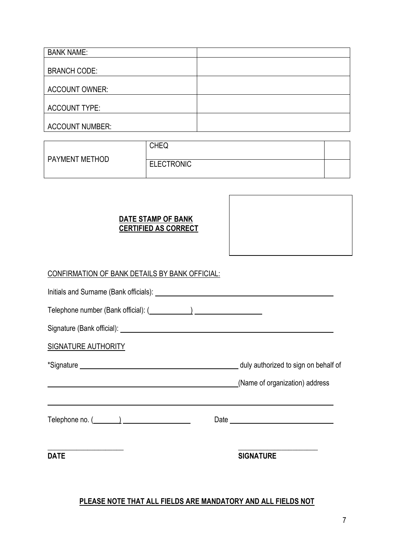| <b>BANK NAME:</b>      |  |
|------------------------|--|
|                        |  |
| <b>BRANCH CODE:</b>    |  |
|                        |  |
| <b>ACCOUNT OWNER:</b>  |  |
|                        |  |
| <b>ACCOUNT TYPE:</b>   |  |
|                        |  |
| <b>ACCOUNT NUMBER:</b> |  |

|                       | <b>CHEQ</b>       |  |
|-----------------------|-------------------|--|
| <b>PAYMENT METHOD</b> | <b>ELECTRONIC</b> |  |

# **DATE STAMP OF BANK CERTIFIED AS CORRECT**

| CONFIRMATION OF BANK DETAILS BY BANK OFFICIAL: |  |                  |  |  |  |
|------------------------------------------------|--|------------------|--|--|--|
|                                                |  |                  |  |  |  |
|                                                |  |                  |  |  |  |
|                                                |  |                  |  |  |  |
| <b>SIGNATURE AUTHORITY</b>                     |  |                  |  |  |  |
|                                                |  |                  |  |  |  |
| (Name of organization) address                 |  |                  |  |  |  |
| Telephone no. $(\_\_\_\_\_$                    |  |                  |  |  |  |
| <b>DATE</b>                                    |  | <b>SIGNATURE</b> |  |  |  |

# **PLEASE NOTE THAT ALL FIELDS ARE MANDATORY AND ALL FIELDS NOT**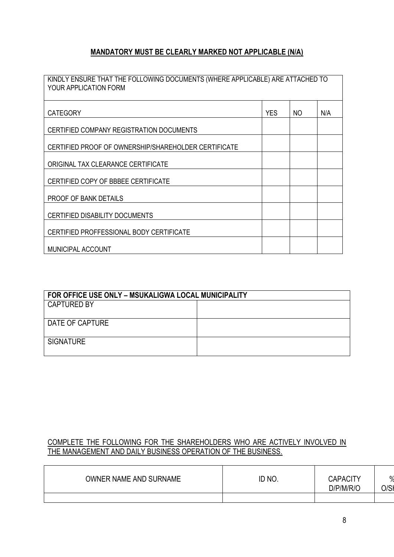# **MANDATORY MUST BE CLEARLY MARKED NOT APPLICABLE (N/A)**

| KINDLY ENSURE THAT THE FOLLOWING DOCUMENTS (WHERE APPLICABLE) ARE ATTACHED TO<br>YOUR APPLICATION FORM |            |     |     |
|--------------------------------------------------------------------------------------------------------|------------|-----|-----|
| <b>CATEGORY</b>                                                                                        | <b>YES</b> | NO. | N/A |
| CERTIFIED COMPANY REGISTRATION DOCUMENTS                                                               |            |     |     |
| CERTIFIED PROOF OF OWNERSHIP/SHAREHOLDER CERTIFICATE                                                   |            |     |     |
| ORIGINAL TAX CLEARANCE CERTIFICATE                                                                     |            |     |     |
| CERTIFIED COPY OF BBBEE CERTIFICATE                                                                    |            |     |     |
| PROOF OF BANK DETAILS                                                                                  |            |     |     |
| <b>CERTIFIED DISABILITY DOCUMENTS</b>                                                                  |            |     |     |
| CERTIFIED PROFFESSIONAL BODY CERTIFICATE                                                               |            |     |     |
| <b>MUNICIPAL ACCOUNT</b>                                                                               |            |     |     |

| FOR OFFICE USE ONLY - MSUKALIGWA LOCAL MUNICIPALITY |  |  |  |
|-----------------------------------------------------|--|--|--|
| <b>CAPTURED BY</b>                                  |  |  |  |
| DATE OF CAPTURE                                     |  |  |  |
| <b>SIGNATURE</b>                                    |  |  |  |

# COMPLETE THE FOLLOWING FOR THE SHAREHOLDERS WHO ARE ACTIVELY INVOLVED IN THE MANAGEMENT AND DAILY BUSINESS OPERATION OF THE BUSINESS.

| OWNER NAME AND SURNAME | ID NO. | <b>CAPACITY</b><br>D/P/M/R/O | $\frac{0}{6}$<br>J/SF |
|------------------------|--------|------------------------------|-----------------------|
|                        |        |                              |                       |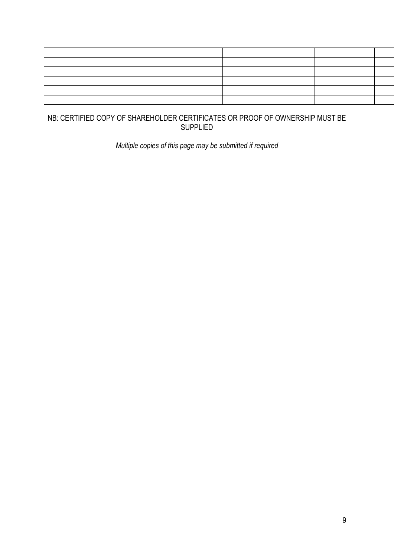### NB: CERTIFIED COPY OF SHAREHOLDER CERTIFICATES OR PROOF OF OWNERSHIP MUST BE SUPPLIED

*Multiple copies of this page may be submitted if required*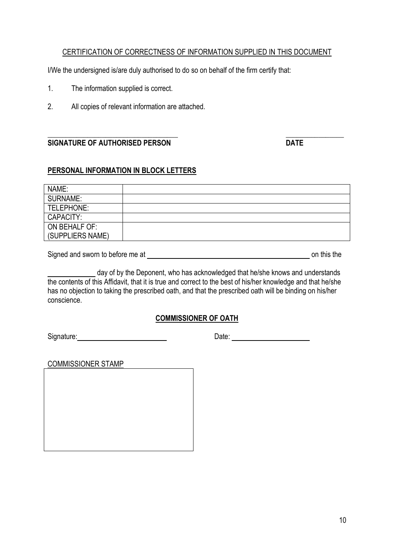#### CERTIFICATION OF CORRECTNESS OF INFORMATION SUPPLIED IN THIS DOCUMENT

I/We the undersigned is/are duly authorised to do so on behalf of the firm certify that:

- 1. The information supplied is correct.
- 2. All copies of relevant information are attached.

#### **\_\_\_\_\_\_\_\_\_\_\_\_\_\_\_\_\_\_\_\_\_\_\_\_\_\_\_\_\_\_\_\_\_\_\_\_ \_\_\_\_\_\_\_\_\_\_\_\_\_\_\_\_ SIGNATURE OF AUTHORISED PERSON DATE**

#### **PERSONAL INFORMATION IN BLOCK LETTERS**

| NAME:            |  |
|------------------|--|
| <b>SURNAME:</b>  |  |
| TELEPHONE:       |  |
| CAPACITY:        |  |
| ON BEHALF OF:    |  |
| (SUPPLIERS NAME) |  |

Signed and sworn to before me at on this the

day of by the Deponent, who has acknowledged that he/she knows and understands the contents of this Affidavit, that it is true and correct to the best of his/her knowledge and that he/she has no objection to taking the prescribed oath, and that the prescribed oath will be binding on his/her conscience.

## **COMMISSIONER OF OATH**

Signature: Date: Date:

COMMISSIONER STAMP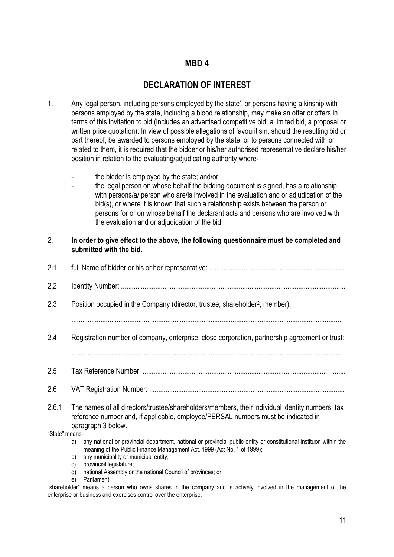# **MBD 4**

# **DECLARATION OF INTEREST**

- 1. Any legal person, including persons employed by the state', or persons having a kinship with persons employed by the state, including a blood relationship, may make an offer or offers in terms of this invitation to bid (includes an advertised competitive bid, a limited bid, a proposal or written price quotation). In view of possible allegations of favouritism, should the resulting bid or part thereof, be awarded to persons employed by the state, or to persons connected with or related to them, it is required that the bidder or his/her authorised representative declare his/her position in relation to the evaluating/adjudicating authority where
	- the bidder is employed by the state; and/or
	- the legal person on whose behalf the bidding document is signed, has a relationship with persons/a/ person who are/is involved in the evaluation and or adjudication of the bid(s), or where it is known that such a relationship exists between the person or persons for or on whose behalf the declarant acts and persons who are involved with the evaluation and or adjudication of the bid.

| 2.             | In order to give effect to the above, the following questionnaire must be completed and<br>submitted with the bid.                                                                                                                                 |
|----------------|----------------------------------------------------------------------------------------------------------------------------------------------------------------------------------------------------------------------------------------------------|
| 2.1            |                                                                                                                                                                                                                                                    |
| 2.2            |                                                                                                                                                                                                                                                    |
| 2.3            | Position occupied in the Company (director, trustee, shareholder <sup>2</sup> , member):                                                                                                                                                           |
| 2.4            | Registration number of company, enterprise, close corporation, partnership agreement or trust:                                                                                                                                                     |
| 2.5            |                                                                                                                                                                                                                                                    |
| 2.6            |                                                                                                                                                                                                                                                    |
| 2.6.1          | The names of all directors/trustee/shareholders/members, their individual identity numbers, tax<br>reference number and, if applicable, employee/PERSAL numbers must be indicated in<br>paragraph 3 below.                                         |
| "State" means- |                                                                                                                                                                                                                                                    |
|                | any national or provincial department, national or provincial public entity or constitutional instituon within the<br>a)<br>meaning of the Public Finance Management Act, 1999 (Act No. 1 of 1999);<br>any municipality or municipal entity;<br>b) |

- c) provincial legislature;
- d) national Assembly or the national Council of provinces; or
- e) Parliament.

"shareholder" means a person who owns shares in the company and is actively involved in the management of the enterprise or business and exercises control over the enterprise.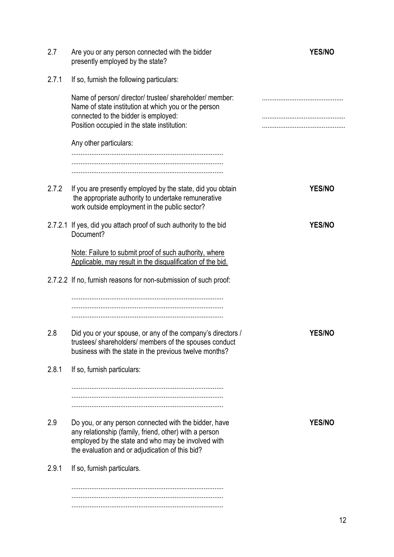| 2.7   | Are you or any person connected with the bidder<br>presently employed by the state?                                                                                                                                      | <b>YES/NO</b> |
|-------|--------------------------------------------------------------------------------------------------------------------------------------------------------------------------------------------------------------------------|---------------|
| 2.7.1 | If so, furnish the following particulars:                                                                                                                                                                                |               |
|       | Name of person/ director/ trustee/ shareholder/ member:<br>Name of state institution at which you or the person<br>connected to the bidder is employed:<br>Position occupied in the state institution:                   |               |
|       | Any other particulars:                                                                                                                                                                                                   |               |
|       |                                                                                                                                                                                                                          |               |
| 2.7.2 | If you are presently employed by the state, did you obtain<br>the appropriate authority to undertake remunerative<br>work outside employment in the public sector?                                                       | <b>YES/NO</b> |
|       | 2.7.2.1 If yes, did you attach proof of such authority to the bid<br>Document?                                                                                                                                           | <b>YES/NO</b> |
|       | Note: Failure to submit proof of such authority, where<br>Applicable, may result in the disqualification of the bid.                                                                                                     |               |
|       | 2.7.2.2 If no, furnish reasons for non-submission of such proof:                                                                                                                                                         |               |
|       |                                                                                                                                                                                                                          |               |
| 2.8   | Did you or your spouse, or any of the company's directors /<br>trustees/ shareholders/ members of the spouses conduct<br>business with the state in the previous twelve months?                                          | <b>YES/NO</b> |
| 2.8.1 | If so, furnish particulars:                                                                                                                                                                                              |               |
|       |                                                                                                                                                                                                                          |               |
| 2.9   | Do you, or any person connected with the bidder, have<br>any relationship (family, friend, other) with a person<br>employed by the state and who may be involved with<br>the evaluation and or adjudication of this bid? | <b>YES/NO</b> |
| 2.9.1 | If so, furnish particulars.                                                                                                                                                                                              |               |
|       |                                                                                                                                                                                                                          |               |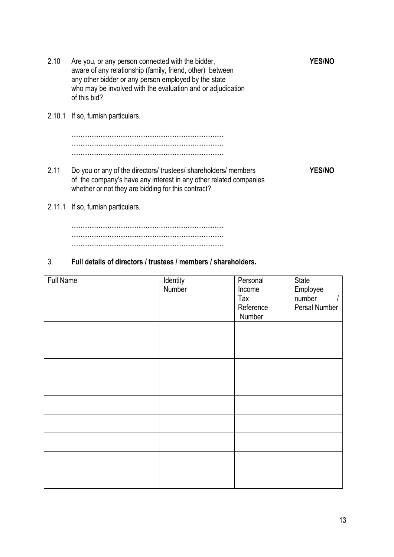- 2.10 Are you, or any person connected with the bidder, **YES/NO** aware of any relationship (family, friend, other) between any other bidder or any person employed by the state who may be involved with the evaluation and or adjudication of this bid? 2.10.1 If so, furnish particulars. .................................................................................... .................................................................................... .................................................................................... 2.11 Do you or any of the directors/ trustees/ shareholders/ members **YES/NO** of the company's have any interest in any other related companies whether or not they are bidding for this contract?
- 2.11.1 If so, furnish particulars.

.................................................................................... .................................................................................... ....................................................................................

#### 3. **Full details of directors / trustees / members / shareholders.**

| <b>Full Name</b> | Identity | Personal  | State         |
|------------------|----------|-----------|---------------|
|                  | Number   | Income    | Employee      |
|                  |          | Tax       | number        |
|                  |          | Reference | Persal Number |
|                  |          | Number    |               |
|                  |          |           |               |
|                  |          |           |               |
|                  |          |           |               |
|                  |          |           |               |
|                  |          |           |               |
|                  |          |           |               |
|                  |          |           |               |
|                  |          |           |               |
|                  |          |           |               |
|                  |          |           |               |
|                  |          |           |               |
|                  |          |           |               |
|                  |          |           |               |
|                  |          |           |               |
|                  |          |           |               |
|                  |          |           |               |
|                  |          |           |               |
|                  |          |           |               |